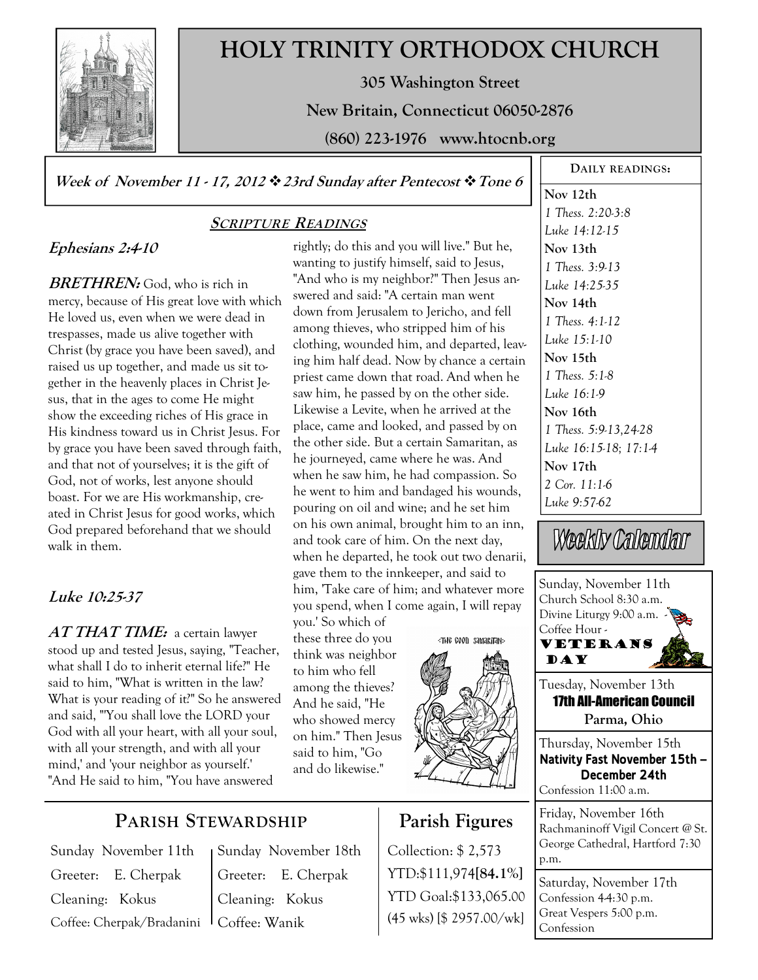

# **HOLY TRINITY ORTHODOX CHURCH**

**305 Washington Street** 

**New Britain, Connecticut 06050-2876** 

**(860) 223-1976 www.htocnb.org** 

**Week of November 11 - 17, 2012 23rd Sunday after Pentecost Tone 6** 

# **Ephesians 2:4-10**

**BRETHREN:** God, who is rich in mercy, because of His great love with which He loved us, even when we were dead in trespasses, made us alive together with Christ (by grace you have been saved), and raised us up together, and made us sit together in the heavenly places in Christ Jesus, that in the ages to come He might show the exceeding riches of His grace in His kindness toward us in Christ Jesus. For by grace you have been saved through faith, and that not of yourselves; it is the gift of God, not of works, lest anyone should boast. For we are His workmanship, created in Christ Jesus for good works, which God prepared beforehand that we should walk in them.

# **Luke 10:25-37**

**AT THAT TIME:** a certain lawyer stood up and tested Jesus, saying, "Teacher, what shall I do to inherit eternal life?" He said to him, "What is written in the law? What is your reading of it?" So he answered and said, "'You shall love the LORD your God with all your heart, with all your soul, with all your strength, and with all your mind,' and 'your neighbor as yourself.' "And He said to him, "You have answered

**PARISH STEWARDSHIP**

# **SCRIPTURE READINGS**

rightly; do this and you will live." But he, wanting to justify himself, said to Jesus, "And who is my neighbor?" Then Jesus answered and said: "A certain man went down from Jerusalem to Jericho, and fell among thieves, who stripped him of his clothing, wounded him, and departed, leaving him half dead. Now by chance a certain priest came down that road. And when he saw him, he passed by on the other side. Likewise a Levite, when he arrived at the place, came and looked, and passed by on the other side. But a certain Samaritan, as he journeyed, came where he was. And when he saw him, he had compassion. So he went to him and bandaged his wounds, pouring on oil and wine; and he set him on his own animal, brought him to an inn, and took care of him. On the next day, when he departed, he took out two denarii, gave them to the innkeeper, and said to him, 'Take care of him; and whatever more you spend, when I come again, I will repay

you.' So which of these three do you think was neighbor to him who fell among the thieves? And he said, "He who showed mercy on him." Then Jesus said to him, "Go and do likewise."



# **Parish Figures**

Collection: \$ 2,573 YTD:\$111,974**[84.1%]** YTD Goal:\$133,065.00 (45 wks) [\$ 2957.00/wk]

**Nov 12th**  *1 Thess. 2:20-3:8 Luke 14:12-15*  **Nov 13th**  *1 Thess. 3:9-13 Luke 14:25-35*  **Nov 14th**  *1 Thess. 4:1-12 Luke 15:1-10*  **Nov 15th**  *1 Thess. 5:1-8 Luke 16:1-9*  **Nov 16th**  *1 Thess. 5:9-13,24-28 Luke 16:15-18; 17:1-4*  **Nov 17th**  *2 Cor. 11:1-6 Luke 9:57-62* 

**DAILY READINGS:** 

Weekly Calendar

Sunday, November 11th Church School 8:30 a.m. Divine Liturgy 9:00 a.m. -Coffee Hour - Veterans **DAY** Tuesday, November 13th 17th All-American Council **Parma, Ohio**  Thursday, November 15th **Nativity Fast November 15th — December 24th**  Confession 11:00 a.m. Friday, November 16th Rachmaninoff Vigil Concert @ St. George Cathedral, Hartford 7:30 p.m. Saturday, November 17th Confession  $44:30$  p.m. Great Vespers 5:00 p.m.

Confession

Sunday November 11th Greeter: E. Cherpak Cleaning: Kokus Coffee: Cherpak/Bradanini Sunday November 18th Greeter: E. Cherpak Cleaning: Kokus Coffee: Wanik